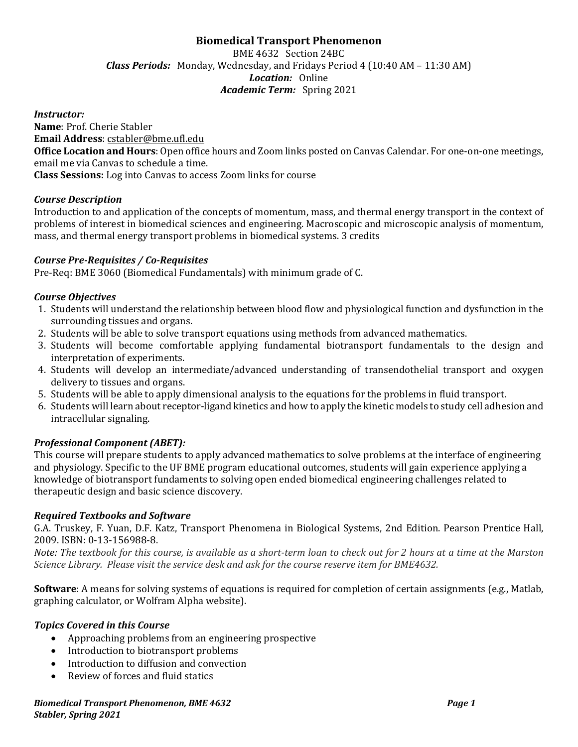# **Biomedical Transport Phenomenon**

BME 4632 Section 24BC *Class Periods:* Monday, Wednesday, and Fridays Period 4 (10:40 AM – 11:30 AM) *Location:* Online *Academic Term:* Spring 2021

#### *Instructor:*

**Name**: Prof. Cherie Stabler

**Email Address**: [cstabler@bme.ufl.edu](mailto:cstabler@bme.ufl.edu)

**Office Location and Hours**: Open office hours and Zoom links posted on Canvas Calendar. For one-on-one meetings, email me via Canvas to schedule a time.

**Class Sessions:** Log into Canvas to access Zoom links for course

### *Course Description*

Introduction to and application of the concepts of momentum, mass, and thermal energy transport in the context of problems of interest in biomedical sciences and engineering. Macroscopic and microscopic analysis of momentum, mass, and thermal energy transport problems in biomedical systems. 3 credits

#### *Course Pre-Requisites / Co-Requisites*

Pre-Req: BME 3060 (Biomedical Fundamentals) with minimum grade of C.

#### *Course Objectives*

- 1. Students will understand the relationship between blood flow and physiological function and dysfunction in the surrounding tissues and organs.
- 2. Students will be able to solve transport equations using methods from advanced mathematics.
- 3. Students will become comfortable applying fundamental biotransport fundamentals to the design and interpretation of experiments.
- 4. Students will develop an intermediate/advanced understanding of transendothelial transport and oxygen delivery to tissues and organs.
- 5. Students will be able to apply dimensional analysis to the equations for the problems in fluid transport.
- 6. Students will learn about receptor-ligand kinetics and how to apply the kinetic models to study cell adhesion and intracellular signaling.

### *Professional Component (ABET):*

This course will prepare students to apply advanced mathematics to solve problems at the interface of engineering and physiology. Specific to the UF BME program educational outcomes, students will gain experience applying a knowledge of biotransport fundaments to solving open ended biomedical engineering challenges related to therapeutic design and basic science discovery.

#### *Required Textbooks and Software*

G.A. Truskey, F. Yuan, D.F. Katz, Transport Phenomena in Biological Systems, 2nd Edition. Pearson Prentice Hall, 2009. ISBN: 0-13-156988-8.

*Note: The textbook for this course, is available as a short-term loan to check out for 2 hours at a time at the Marston Science Library. Please visit the service desk and ask for the course reserve item for BME4632.*

**Software**: A means for solving systems of equations is required for completion of certain assignments (e.g., Matlab, graphing calculator, or Wolfram Alpha website).

#### *Topics Covered in this Course*

- Approaching problems from an engineering prospective
- Introduction to biotransport problems
- Introduction to diffusion and convection
- Review of forces and fluid statics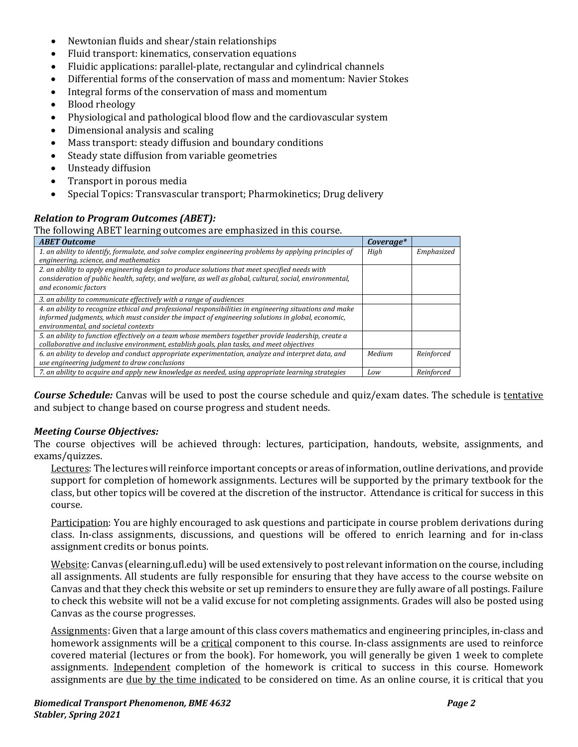- Newtonian fluids and shear/stain relationships
- Fluid transport: kinematics, conservation equations
- Fluidic applications: parallel-plate, rectangular and cylindrical channels
- Differential forms of the conservation of mass and momentum: Navier Stokes
- Integral forms of the conservation of mass and momentum
- Blood rheology
- Physiological and pathological blood flow and the cardiovascular system
- Dimensional analysis and scaling
- Mass transport: steady diffusion and boundary conditions
- Steady state diffusion from variable geometries
- Unsteady diffusion
- Transport in porous media
- Special Topics: Transvascular transport; Pharmokinetics; Drug delivery

## *Relation to Program Outcomes (ABET):*

The following ABET learning outcomes are emphasized in this course.

| <b>ABET Outcome</b>                                                                                      | Coverage* |            |
|----------------------------------------------------------------------------------------------------------|-----------|------------|
| 1. an ability to identify, formulate, and solve complex engineering problems by applying principles of   | High      | Emphasized |
| engineering, science, and mathematics                                                                    |           |            |
| 2. an ability to apply engineering design to produce solutions that meet specified needs with            |           |            |
| consideration of public health, safety, and welfare, as well as global, cultural, social, environmental, |           |            |
| and economic factors                                                                                     |           |            |
| 3. an ability to communicate effectively with a range of audiences                                       |           |            |
| 4. an ability to recognize ethical and professional responsibilities in engineering situations and make  |           |            |
| informed judgments, which must consider the impact of engineering solutions in global, economic,         |           |            |
| environmental, and societal contexts                                                                     |           |            |
| 5. an ability to function effectively on a team whose members together provide leadership, create a      |           |            |
| collaborative and inclusive environment, establish goals, plan tasks, and meet objectives                |           |            |
| 6. an ability to develop and conduct appropriate experimentation, analyze and interpret data, and        | Medium    | Reinforced |
| use engineering judgment to draw conclusions                                                             |           |            |
| 7. an ability to acquire and apply new knowledge as needed, using appropriate learning strategies        | Low       | Reinforced |

*Course Schedule:* Canvas will be used to post the course schedule and quiz/exam dates. The schedule is tentative and subject to change based on course progress and student needs.

### *Meeting Course Objectives:*

The course objectives will be achieved through: lectures, participation, handouts, website, assignments, and exams/quizzes.

Lectures: The lectures will reinforce important concepts or areas of information, outline derivations, and provide support for completion of homework assignments. Lectures will be supported by the primary textbook for the class, but other topics will be covered at the discretion of the instructor. Attendance is critical for success in this course.

Participation: You are highly encouraged to ask questions and participate in course problem derivations during class. In-class assignments, discussions, and questions will be offered to enrich learning and for in-class assignment credits or bonus points.

Website: Canvas (elearning.ufl.edu) will be used extensively to post relevant information on the course, including all assignments. All students are fully responsible for ensuring that they have access to the course website on Canvas and that they check this website or set up reminders to ensure they are fully aware of all postings. Failure to check this website will not be a valid excuse for not completing assignments. Grades will also be posted using Canvas as the course progresses.

Assignments: Given that a large amount of this class covers mathematics and engineering principles, in-class and homework assignments will be a critical component to this course. In-class assignments are used to reinforce covered material (lectures or from the book). For homework, you will generally be given 1 week to complete assignments. Independent completion of the homework is critical to success in this course. Homework assignments are due by the time indicated to be considered on time. As an online course, it is critical that you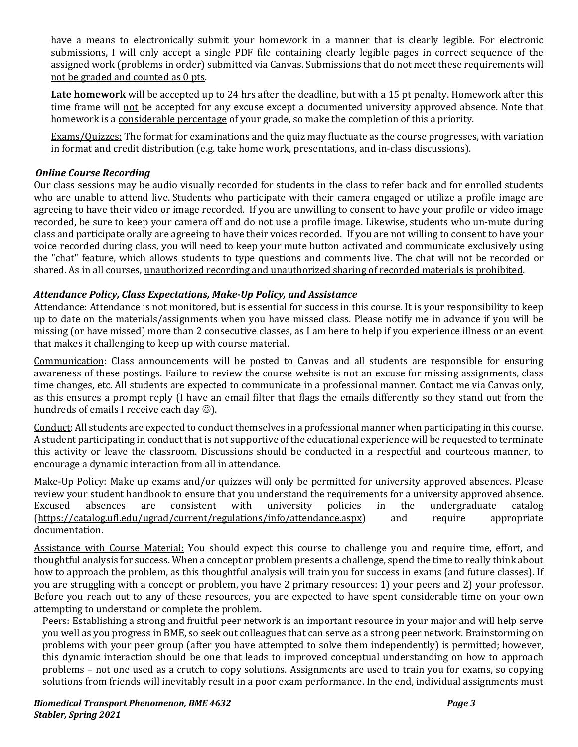have a means to electronically submit your homework in a manner that is clearly legible. For electronic submissions, I will only accept a single PDF file containing clearly legible pages in correct sequence of the assigned work (problems in order) submitted via Canvas. Submissions that do not meet these requirements will not be graded and counted as 0 pts.

**Late homework** will be accepted up to 24 hrs after the deadline, but with a 15 pt penalty. Homework after this time frame will not be accepted for any excuse except a documented university approved absence. Note that homework is a considerable percentage of your grade, so make the completion of this a priority.

Exams/Quizzes: The format for examinations and the quiz may fluctuate as the course progresses, with variation in format and credit distribution (e.g. take home work, presentations, and in-class discussions).

## *Online Course Recording*

Our class sessions may be audio visually recorded for students in the class to refer back and for enrolled students who are unable to attend live. Students who participate with their camera engaged or utilize a profile image are agreeing to have their video or image recorded. If you are unwilling to consent to have your profile or video image recorded, be sure to keep your camera off and do not use a profile image. Likewise, students who un-mute during class and participate orally are agreeing to have their voices recorded. If you are not willing to consent to have your voice recorded during class, you will need to keep your mute button activated and communicate exclusively using the "chat" feature, which allows students to type questions and comments live. The chat will not be recorded or shared. As in all courses, unauthorized recording and unauthorized sharing of recorded materials is prohibited.

## *Attendance Policy, Class Expectations, Make-Up Policy, and Assistance*

Attendance: Attendance is not monitored, but is essential for success in this course. It is your responsibility to keep up to date on the materials/assignments when you have missed class. Please notify me in advance if you will be missing (or have missed) more than 2 consecutive classes, as I am here to help if you experience illness or an event that makes it challenging to keep up with course material.

Communication: Class announcements will be posted to Canvas and all students are responsible for ensuring awareness of these postings. Failure to review the course website is not an excuse for missing assignments, class time changes, etc. All students are expected to communicate in a professional manner. Contact me via Canvas only, as this ensures a prompt reply (I have an email filter that flags the emails differently so they stand out from the hundreds of emails I receive each day  $\circledcirc$ ).

Conduct: All students are expected to conduct themselves in a professional manner when participating in this course. A student participating in conduct that is not supportive of the educational experience will be requested to terminate this activity or leave the classroom. Discussions should be conducted in a respectful and courteous manner, to encourage a dynamic interaction from all in attendance.

Make-Up Policy: Make up exams and/or quizzes will only be permitted for university approved absences. Please review your student handbook to ensure that you understand the requirements for a university approved absence.<br>Excused absences are consistent with university policies in the undergraduate catalog Excused absences are consistent with university policies in the undergraduate catalog [\(https://catalog.ufl.edu/ugrad/current/regulations/info/attendance.aspx\)](https://catalog.ufl.edu/ugrad/current/regulations/info/attendance.aspx) and require appropriate documentation.

Assistance with Course Material: You should expect this course to challenge you and require time, effort, and thoughtful analysis for success. When a concept or problem presents a challenge, spend the time to really think about how to approach the problem, as this thoughtful analysis will train you for success in exams (and future classes). If you are struggling with a concept or problem, you have 2 primary resources: 1) your peers and 2) your professor. Before you reach out to any of these resources, you are expected to have spent considerable time on your own attempting to understand or complete the problem.

Peers: Establishing a strong and fruitful peer network is an important resource in your major and will help serve you well as you progress in BME, so seek out colleagues that can serve as a strong peer network. Brainstorming on problems with your peer group (after you have attempted to solve them independently) is permitted; however, this dynamic interaction should be one that leads to improved conceptual understanding on how to approach problems – not one used as a crutch to copy solutions. Assignments are used to train you for exams, so copying solutions from friends will inevitably result in a poor exam performance. In the end, individual assignments must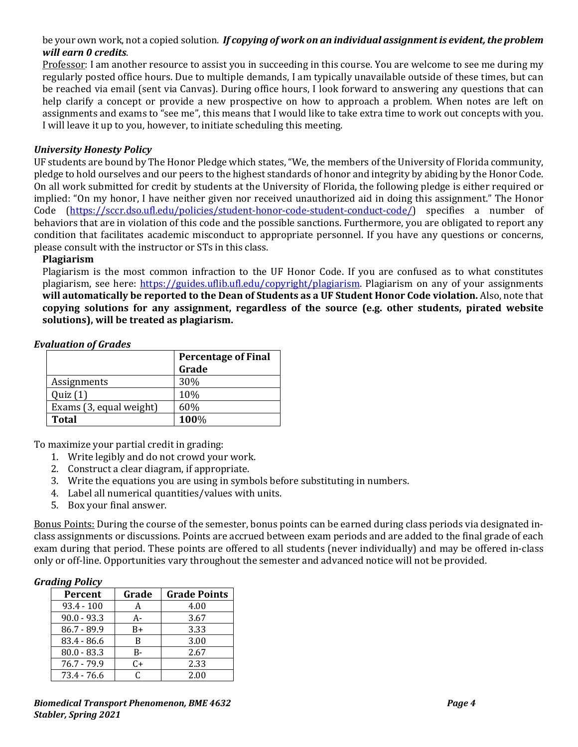### be your own work, not a copied solution. *If copying of work on an individual assignment is evident, the problem will earn 0 credits*.

Professor: I am another resource to assist you in succeeding in this course. You are welcome to see me during my regularly posted office hours. Due to multiple demands, I am typically unavailable outside of these times, but can be reached via email (sent via Canvas). During office hours, I look forward to answering any questions that can help clarify a concept or provide a new prospective on how to approach a problem. When notes are left on assignments and exams to "see me", this means that I would like to take extra time to work out concepts with you. I will leave it up to you, however, to initiate scheduling this meeting.

#### *University Honesty Policy*

UF students are bound by The Honor Pledge which states, "We, the members of the University of Florida community, pledge to hold ourselves and our peers to the highest standards of honor and integrity by abiding by the Honor Code. On all work submitted for credit by students at the University of Florida, the following pledge is either required or implied: "On my honor, I have neither given nor received unauthorized aid in doing this assignment." The Honor Code [\(https://sccr.dso.ufl.edu/policies/student-honor-code-student-conduct-code/\)](https://sccr.dso.ufl.edu/policies/student-honor-code-student-conduct-code/) specifies a number of behaviors that are in violation of this code and the possible sanctions. Furthermore, you are obligated to report any condition that facilitates academic misconduct to appropriate personnel. If you have any questions or concerns, please consult with the instructor or STs in this class.

#### **Plagiarism**

Plagiarism is the most common infraction to the UF Honor Code. If you are confused as to what constitutes plagiarism, see here: [https://guides.uflib.ufl.edu/copyright/plagiarism.](https://guides.uflib.ufl.edu/copyright/plagiarism) Plagiarism on any of your assignments **will automatically be reported to the Dean of Students as a UF Student Honor Code violation.** Also, note that **copying solutions for any assignment, regardless of the source (e.g. other students, pirated website solutions), will be treated as plagiarism.**

| <b>Evaluation of Grades</b> |
|-----------------------------|
|-----------------------------|

|                         | <b>Percentage of Final</b> |
|-------------------------|----------------------------|
|                         | Grade                      |
| Assignments             | 30%                        |
| Quiz(1)                 | 10%                        |
| Exams (3, equal weight) | 60%                        |
| <b>Total</b>            | 100%                       |

To maximize your partial credit in grading:

- 1. Write legibly and do not crowd your work.
- 2. Construct a clear diagram, if appropriate.
- 3. Write the equations you are using in symbols before substituting in numbers.
- 4. Label all numerical quantities/values with units.
- 5. Box your final answer.

Bonus Points: During the course of the semester, bonus points can be earned during class periods via designated inclass assignments or discussions. Points are accrued between exam periods and are added to the final grade of each exam during that period. These points are offered to all students (never individually) and may be offered in-class only or off-line. Opportunities vary throughout the semester and advanced notice will not be provided.

#### *Grading Policy*

| <b>Percent</b> | Grade | <b>Grade Points</b> |
|----------------|-------|---------------------|
| $93.4 - 100$   | А     | 4.00                |
| $90.0 - 93.3$  | А-    | 3.67                |
| $86.7 - 89.9$  | $B+$  | 3.33                |
| $83.4 - 86.6$  | B     | 3.00                |
| $80.0 - 83.3$  | B-    | 2.67                |
| $76.7 - 79.9$  | $C+$  | 2.33                |
| $73.4 - 76.6$  | C     | 2.00                |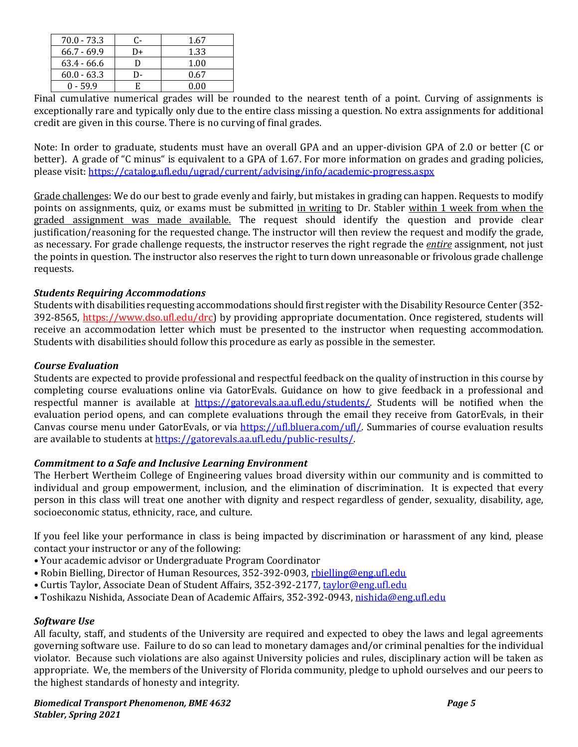| $70.0 - 73.3$ | C- | 1.67 |
|---------------|----|------|
| $66.7 - 69.9$ | D+ | 1.33 |
| $63.4 - 66.6$ |    | 1.00 |
| $60.0 - 63.3$ |    | 0.67 |
| $0 - 59.9$    | E  | 0.00 |
|               |    |      |

Final cumulative numerical grades will be rounded to the nearest tenth of a point. Curving of assignments is exceptionally rare and typically only due to the entire class missing a question. No extra assignments for additional credit are given in this course. There is no curving of final grades.

Note: In order to graduate, students must have an overall GPA and an upper-division GPA of 2.0 or better (C or better). A grade of "C minus" is equivalent to a GPA of 1.67. For more information on grades and grading policies, please visit:<https://catalog.ufl.edu/ugrad/current/advising/info/academic-progress.aspx>

Grade challenges: We do our best to grade evenly and fairly, but mistakes in grading can happen. Requests to modify points on assignments, quiz, or exams must be submitted in writing to Dr. Stabler within 1 week from when the graded assignment was made available. The request should identify the question and provide clear justification/reasoning for the requested change. The instructor will then review the request and modify the grade, as necessary. For grade challenge requests, the instructor reserves the right regrade the *entire* assignment, not just the points in question. The instructor also reserves the right to turn down unreasonable or frivolous grade challenge requests.

### *Students Requiring Accommodations*

Students with disabilities requesting accommodations should first register with the Disability Resource Center (352- 392-8565, https://www.dso.ufl.edu/drc) by providing appropriate documentation. Once registered, students will receive an accommodation letter which must be presented to the instructor when requesting accommodation. Students with disabilities should follow this procedure as early as possible in the semester.

## *Course Evaluation*

Students are expected to provide professional and respectful feedback on the quality of instruction in this course by completing course evaluations online via GatorEvals. Guidance on how to give feedback in a professional and respectful manner is available at [https://gatorevals.aa.ufl.edu/students/.](https://gatorevals.aa.ufl.edu/students/) Students will be notified when the evaluation period opens, and can complete evaluations through the email they receive from GatorEvals, in their Canvas course menu under GatorEvals, or via [https://ufl.bluera.com/ufl/.](https://ufl.bluera.com/ufl/) Summaries of course evaluation results are available to students a[t https://gatorevals.aa.ufl.edu/public-results/.](https://gatorevals.aa.ufl.edu/public-results/)

### *Commitment to a Safe and Inclusive Learning Environment*

The Herbert Wertheim College of Engineering values broad diversity within our community and is committed to individual and group empowerment, inclusion, and the elimination of discrimination. It is expected that every person in this class will treat one another with dignity and respect regardless of gender, sexuality, disability, age, socioeconomic status, ethnicity, race, and culture.

If you feel like your performance in class is being impacted by discrimination or harassment of any kind, please contact your instructor or any of the following:

- Your academic advisor or Undergraduate Program Coordinator
- Robin Bielling, Director of Human Resources, 352-392-0903, [rbielling@eng.ufl.edu](mailto:rbielling@eng.ufl.edu)
- Curtis Taylor, Associate Dean of Student Affairs, 352-392-2177, [taylor@eng.ufl.edu](mailto:taylor@eng.ufl.edu)
- Toshikazu Nishida, Associate Dean of Academic Affairs, 352-392-0943[, nishida@eng.ufl.edu](mailto:nishida@eng.ufl.edu)

#### *Software Use*

All faculty, staff, and students of the University are required and expected to obey the laws and legal agreements governing software use. Failure to do so can lead to monetary damages and/or criminal penalties for the individual violator. Because such violations are also against University policies and rules, disciplinary action will be taken as appropriate. We, the members of the University of Florida community, pledge to uphold ourselves and our peers to the highest standards of honesty and integrity.